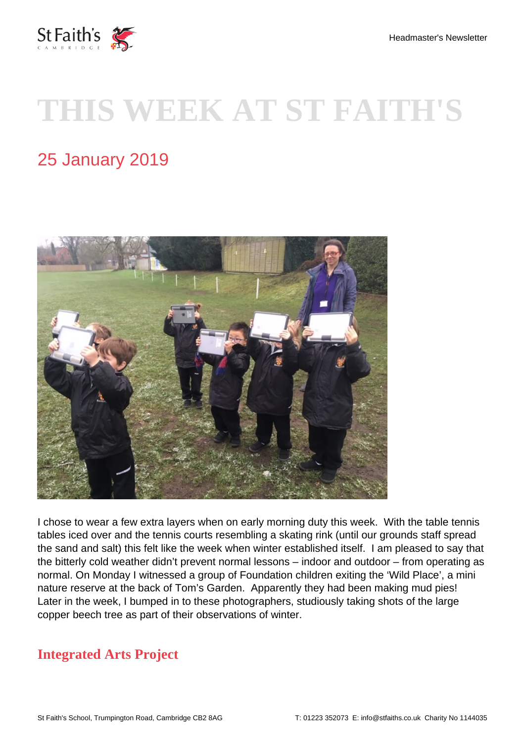

# **THIS WEEK AT ST FAITH'S**

# 25 January 2019



I chose to wear a few extra layers when on early morning duty this week. With the table tennis tables iced over and the tennis courts resembling a skating rink (until our grounds staff spread the sand and salt) this felt like the week when winter established itself. I am pleased to say that the bitterly cold weather didn't prevent normal lessons – indoor and outdoor – from operating as normal. On Monday I witnessed a group of Foundation children exiting the 'Wild Place', a mini nature reserve at the back of Tom's Garden. Apparently they had been making mud pies! Later in the week, I bumped in to these photographers, studiously taking shots of the large copper beech tree as part of their observations of winter.

#### **Integrated Arts Project**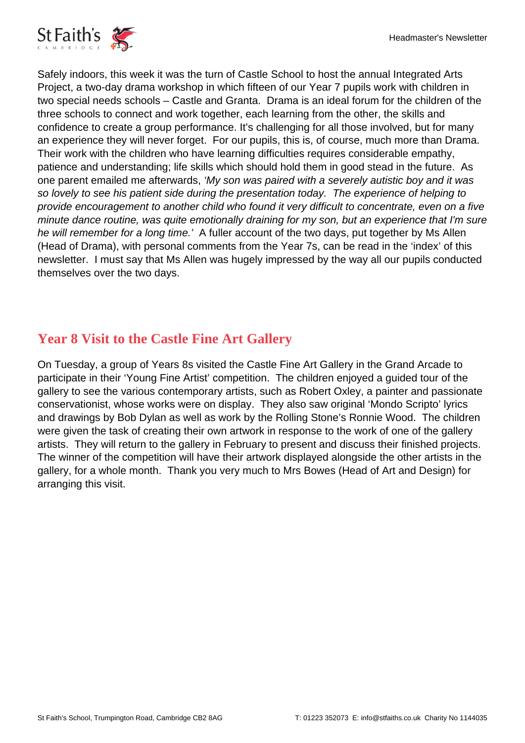

Safely indoors, this week it was the turn of Castle School to host the annual Integrated Arts Project, a two-day drama workshop in which fifteen of our Year 7 pupils work with children in two special needs schools – Castle and Granta. Drama is an ideal forum for the children of the three schools to connect and work together, each learning from the other, the skills and confidence to create a group performance. It's challenging for all those involved, but for many an experience they will never forget. For our pupils, this is, of course, much more than Drama. Their work with the children who have learning difficulties requires considerable empathy, patience and understanding; life skills which should hold them in good stead in the future. As one parent emailed me afterwards, 'My son was paired with a severely autistic boy and it was so lovely to see his patient side during the presentation today. The experience of helping to provide encouragement to another child who found it very difficult to concentrate, even on a five minute dance routine, was quite emotionally draining for my son, but an experience that I'm sure he will remember for a long time.' A fuller account of the two days, put together by Ms Allen (Head of Drama), with personal comments from the Year 7s, can be read in the 'index' of this newsletter. I must say that Ms Allen was hugely impressed by the way all our pupils conducted themselves over the two days.

# **Year 8 Visit to the Castle Fine Art Gallery**

On Tuesday, a group of Years 8s visited the Castle Fine Art Gallery in the Grand Arcade to participate in their 'Young Fine Artist' competition. The children enjoyed a guided tour of the gallery to see the various contemporary artists, such as Robert Oxley, a painter and passionate conservationist, whose works were on display. They also saw original 'Mondo Scripto' lyrics and drawings by Bob Dylan as well as work by the Rolling Stone's Ronnie Wood. The children were given the task of creating their own artwork in response to the work of one of the gallery artists. They will return to the gallery in February to present and discuss their finished projects. The winner of the competition will have their artwork displayed alongside the other artists in the gallery, for a whole month. Thank you very much to Mrs Bowes (Head of Art and Design) for arranging this visit.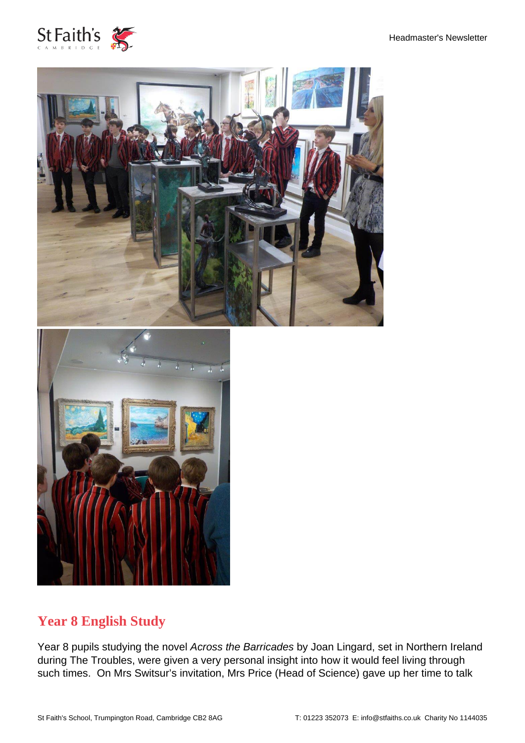





#### **Year 8 English Study**

Year 8 pupils studying the novel Across the Barricades by Joan Lingard, set in Northern Ireland during The Troubles, were given a very personal insight into how it would feel living through such times. On Mrs Switsur's invitation, Mrs Price (Head of Science) gave up her time to talk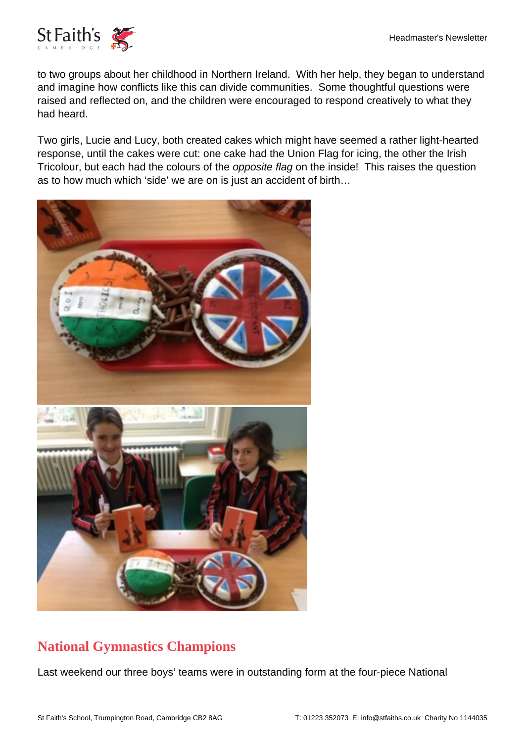

to two groups about her childhood in Northern Ireland. With her help, they began to understand and imagine how conflicts like this can divide communities. Some thoughtful questions were raised and reflected on, and the children were encouraged to respond creatively to what they had heard.

Two girls, Lucie and Lucy, both created cakes which might have seemed a rather light-hearted response, until the cakes were cut: one cake had the Union Flag for icing, the other the Irish Tricolour, but each had the colours of the opposite flag on the inside! This raises the question as to how much which 'side' we are on is just an accident of birth…



# **National Gymnastics Champions**

Last weekend our three boys' teams were in outstanding form at the four-piece National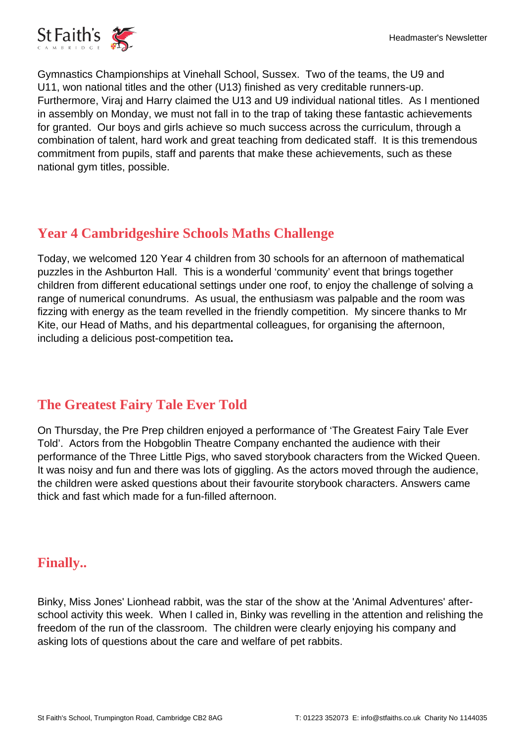Gymnastics Championships at Vinehall School, Sussex. Two of the teams, the U9 and U11, won national titles and the other (U13) finished as very creditable runners-up. Furthermore, Viraj and Harry claimed the U13 and U9 individual national titles. As I mentioned in assembly on Monday, we must not fall in to the trap of taking these fantastic achievements for granted. Our boys and girls achieve so much success across the curriculum, through a combination of talent, hard work and great teaching from dedicated staff. It is this tremendous commitment from pupils, staff and parents that make these achievements, such as these national gym titles, possible.

# **Year 4 Cambridgeshire Schools Maths Challenge**

Today, we welcomed 120 Year 4 children from 30 schools for an afternoon of mathematical puzzles in the Ashburton Hall. This is a wonderful 'community' event that brings together children from different educational settings under one roof, to enjoy the challenge of solving a range of numerical conundrums. As usual, the enthusiasm was palpable and the room was fizzing with energy as the team revelled in the friendly competition. My sincere thanks to Mr Kite, our Head of Maths, and his departmental colleagues, for organising the afternoon, including a delicious post-competition tea**.**

#### **The Greatest Fairy Tale Ever Told**

On Thursday, the Pre Prep children enjoyed a performance of 'The Greatest Fairy Tale Ever Told'. Actors from the Hobgoblin Theatre Company enchanted the audience with their performance of the Three Little Pigs, who saved storybook characters from the Wicked Queen. It was noisy and fun and there was lots of giggling. As the actors moved through the audience, the children were asked questions about their favourite storybook characters. Answers came thick and fast which made for a fun-filled afternoon.

#### **Finally..**

Binky, Miss Jones' Lionhead rabbit, was the star of the show at the 'Animal Adventures' afterschool activity this week. When I called in, Binky was revelling in the attention and relishing the freedom of the run of the classroom. The children were clearly enjoying his company and asking lots of questions about the care and welfare of pet rabbits.